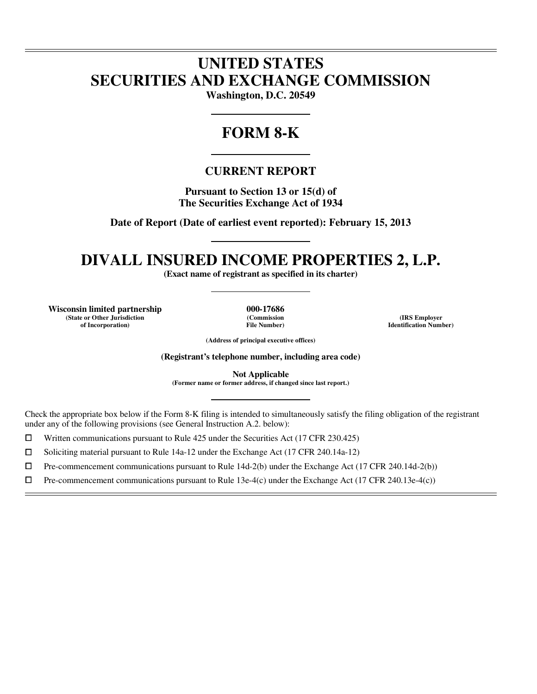# **UNITED STATES SECURITIES AND EXCHANGE COMMISSION**

**Washington, D.C. 20549** 

# **FORM 8-K**

# **CURRENT REPORT**

**Pursuant to Section 13 or 15(d) of The Securities Exchange Act of 1934** 

**Date of Report (Date of earliest event reported): February 15, 2013** 

# **DIVALL INSURED INCOME PROPERTIES 2, L.P.**

**(Exact name of registrant as specified in its charter)** 

**Wisconsin limited partnership 000-17686 (State or Other Jurisdiction of Incorporation)**

 $\overline{a}$ 

l

**(Commission File Number)**

**(IRS Employer Identification Number)**

**(Address of principal executive offices)** 

**(Registrant's telephone number, including area code)** 

**Not Applicable** 

**(Former name or former address, if changed since last report.)** 

Check the appropriate box below if the Form 8-K filing is intended to simultaneously satisfy the filing obligation of the registrant under any of the following provisions (see General Instruction A.2. below):

 $□$  Written communications pursuant to Rule 425 under the Securities Act (17 CFR 230.425)<br>
□ Soliciting material pursuant to Rule 14a-12 under the Exchange Act (17 CFR 240.14a-12)

<ul>\n<li>□ Soliciting material pursuit to Rule 14a-12 under the Exchange Act (17 CFR 240.14a-12)</li>\n<li>□ Pre-component communications pursuit to Rule 14d-2(b) under the Exchange Act (17 CFR 240.14a-12)</li>\n</ul>

 $\Box$  Pre-commencement communications pursuant to Rule 14d-2(b) under the Exchange Act (17 CFR 240.14d-2(b))<br>  $\Box$  Pre-commencement communications pursuant to Rule 13e-4(c) under the Exchange Act (17 CFR 240.13e-4(c))

Pre-commencement communications pursuant to Rule 13e-4(c) under the Exchange Act (17 CFR 240.13e-4(c))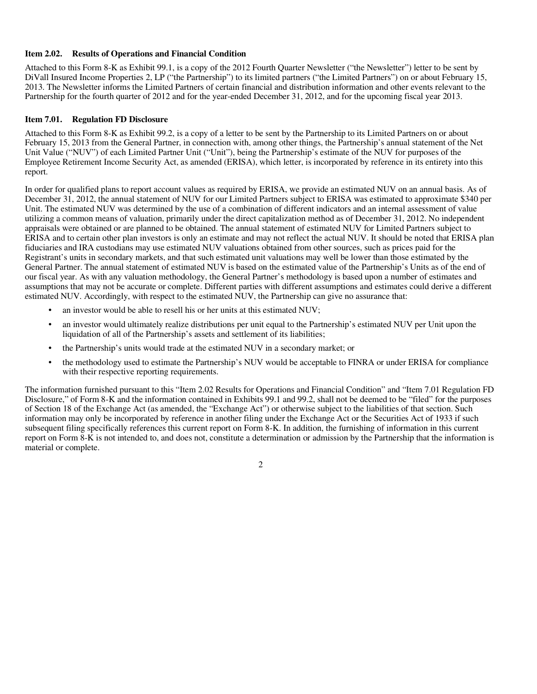#### **Item 2.02. Results of Operations and Financial Condition**

Attached to this Form 8-K as Exhibit 99.1, is a copy of the 2012 Fourth Quarter Newsletter ("the Newsletter") letter to be sent by DiVall Insured Income Properties 2, LP ("the Partnership") to its limited partners ("the Limited Partners") on or about February 15, 2013. The Newsletter informs the Limited Partners of certain financial and distribution information and other events relevant to the Partnership for the fourth quarter of 2012 and for the year-ended December 31, 2012, and for the upcoming fiscal year 2013.

### **Item 7.01. Regulation FD Disclosure**

Attached to this Form 8-K as Exhibit 99.2, is a copy of a letter to be sent by the Partnership to its Limited Partners on or about February 15, 2013 from the General Partner, in connection with, among other things, the Partnership's annual statement of the Net Unit Value ("NUV") of each Limited Partner Unit ("Unit"), being the Partnership's estimate of the NUV for purposes of the Employee Retirement Income Security Act, as amended (ERISA), which letter, is incorporated by reference in its entirety into this report.

In order for qualified plans to report account values as required by ERISA, we provide an estimated NUV on an annual basis. As of December 31, 2012, the annual statement of NUV for our Limited Partners subject to ERISA was estimated to approximate \$340 per Unit. The estimated NUV was determined by the use of a combination of different indicators and an internal assessment of value utilizing a common means of valuation, primarily under the direct capitalization method as of December 31, 2012. No independent appraisals were obtained or are planned to be obtained. The annual statement of estimated NUV for Limited Partners subject to ERISA and to certain other plan investors is only an estimate and may not reflect the actual NUV. It should be noted that ERISA plan fiduciaries and IRA custodians may use estimated NUV valuations obtained from other sources, such as prices paid for the Registrant's units in secondary markets, and that such estimated unit valuations may well be lower than those estimated by the General Partner. The annual statement of estimated NUV is based on the estimated value of the Partnership's Units as of the end of our fiscal year. As with any valuation methodology, the General Partner's methodology is based upon a number of estimates and assumptions that may not be accurate or complete. Different parties with different assumptions and estimates could derive a different estimated NUV. Accordingly, with respect to the estimated NUV, the Partnership can give no assurance that:

- an investor would be able to resell his or her units at this estimated NUV;
- an investor would ultimately realize distributions per unit equal to the Partnership's estimated NUV per Unit upon the liquidation of all of the Partnership's assets and settlement of its liabilities;
- the Partnership's units would trade at the estimated NUV in a secondary market; or
- the methodology used to estimate the Partnership's NUV would be acceptable to FINRA or under ERISA for compliance with their respective reporting requirements.

The information furnished pursuant to this "Item 2.02 Results for Operations and Financial Condition" and "Item 7.01 Regulation FD Disclosure," of Form 8-K and the information contained in Exhibits 99.1 and 99.2, shall not be deemed to be "filed" for the purposes of Section 18 of the Exchange Act (as amended, the "Exchange Act") or otherwise subject to the liabilities of that section. Such information may only be incorporated by reference in another filing under the Exchange Act or the Securities Act of 1933 if such subsequent filing specifically references this current report on Form 8-K. In addition, the furnishing of information in this current report on Form 8-K is not intended to, and does not, constitute a determination or admission by the Partnership that the information is material or complete.

2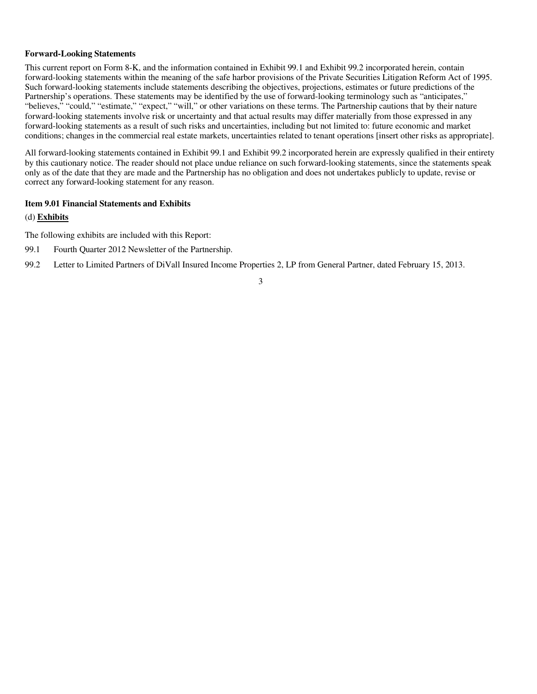#### **Forward-Looking Statements**

This current report on Form 8-K, and the information contained in Exhibit 99.1 and Exhibit 99.2 incorporated herein, contain forward-looking statements within the meaning of the safe harbor provisions of the Private Securities Litigation Reform Act of 1995. Such forward-looking statements include statements describing the objectives, projections, estimates or future predictions of the Partnership's operations. These statements may be identified by the use of forward-looking terminology such as "anticipates," "believes," "could," "estimate," "expect," "will," or other variations on these terms. The Partnership cautions that by their nature forward-looking statements involve risk or uncertainty and that actual results may differ materially from those expressed in any forward-looking statements as a result of such risks and uncertainties, including but not limited to: future economic and market conditions; changes in the commercial real estate markets, uncertainties related to tenant operations [insert other risks as appropriate].

All forward-looking statements contained in Exhibit 99.1 and Exhibit 99.2 incorporated herein are expressly qualified in their entirety by this cautionary notice. The reader should not place undue reliance on such forward-looking statements, since the statements speak only as of the date that they are made and the Partnership has no obligation and does not undertakes publicly to update, revise or correct any forward-looking statement for any reason.

# **Item 9.01 Financial Statements and Exhibits**

### (d) **Exhibits**

The following exhibits are included with this Report:

- 99.1 Fourth Quarter 2012 Newsletter of the Partnership.
- 99.2 Letter to Limited Partners of DiVall Insured Income Properties 2, LP from General Partner, dated February 15, 2013.

# 3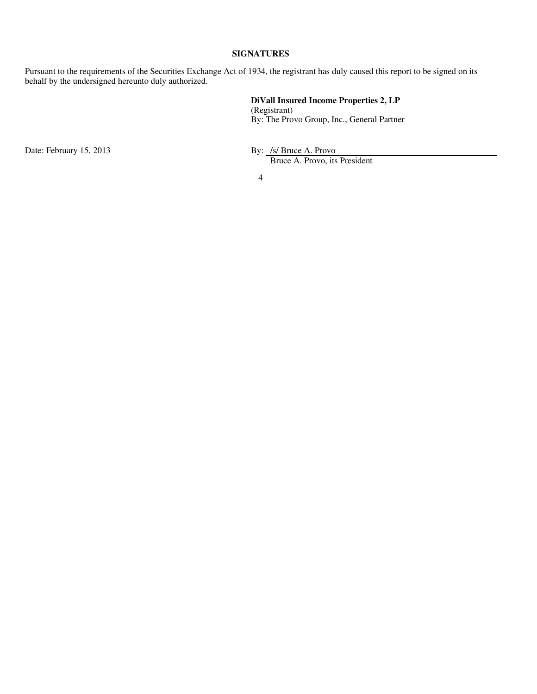# **SIGNATURES**

Pursuant to the requirements of the Securities Exchange Act of 1934, the registrant has duly caused this report to be signed on its behalf by the undersigned hereunto duly authorized.

> **DiVall Insured Income Properties 2, LP** (Registrant) By: The Provo Group, Inc., General Partner

Date: February 15, 2013 By: /s/ Bruce A. Provo

Bruce A. Provo, its President

4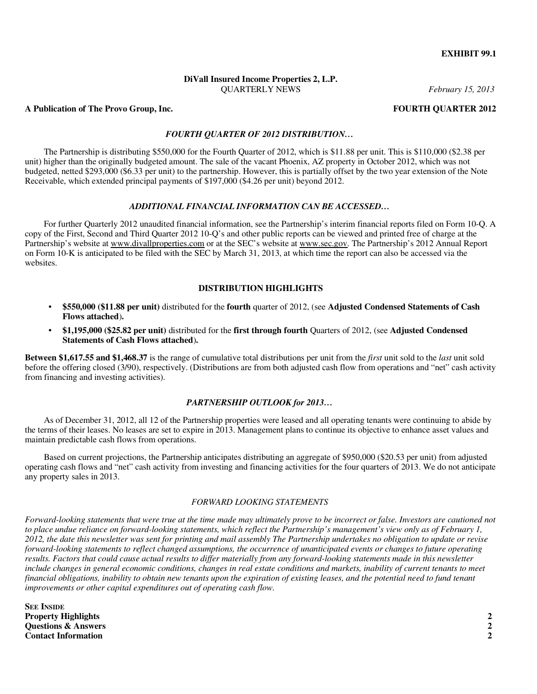#### **EXHIBIT 99.1**

# **DiVall Insured Income Properties 2, L.P.**  QUARTERLY NEWS *February 15, 2013*

#### **A Publication of The Provo Group, Inc. FOURTH QUARTER 2012**

### *FOURTH QUARTER OF 2012 DISTRIBUTION…*

The Partnership is distributing \$550,000 for the Fourth Quarter of 2012, which is \$11.88 per unit. This is \$110,000 (\$2.38 per unit) higher than the originally budgeted amount. The sale of the vacant Phoenix, AZ property in October 2012, which was not budgeted, netted \$293,000 (\$6.33 per unit) to the partnership. However, this is partially offset by the two year extension of the Note Receivable, which extended principal payments of \$197,000 (\$4.26 per unit) beyond 2012.

#### *ADDITIONAL FINANCIAL INFORMATION CAN BE ACCESSED…*

For further Quarterly 2012 unaudited financial information, see the Partnership's interim financial reports filed on Form 10-Q. A copy of the First, Second and Third Quarter 2012 10-Q's and other public reports can be viewed and printed free of charge at the Partnership's website at www.divallproperties.com or at the SEC's website at www.sec.gov. The Partnership's 2012 Annual Report on Form 10-K is anticipated to be filed with the SEC by March 31, 2013, at which time the report can also be accessed via the websites.

#### **DISTRIBUTION HIGHLIGHTS**

- **\$550,000 (\$11.88 per unit)** distributed for the **fourth** quarter of 2012, (see **Adjusted Condensed Statements of Cash Flows attached**)**.**
- **\$1,195,000 (\$25.82 per unit)** distributed for the **first through fourth** Quarters of 2012, (see **Adjusted Condensed Statements of Cash Flows attached**)**.**

**Between \$1,617.55 and \$1,468.37** is the range of cumulative total distributions per unit from the *first* unit sold to the *last* unit sold before the offering closed (3/90), respectively. (Distributions are from both adjusted cash flow from operations and "net" cash activity from financing and investing activities).

#### *PARTNERSHIP OUTLOOK for 2013…*

As of December 31, 2012, all 12 of the Partnership properties were leased and all operating tenants were continuing to abide by the terms of their leases. No leases are set to expire in 2013. Management plans to continue its objective to enhance asset values and maintain predictable cash flows from operations.

Based on current projections, the Partnership anticipates distributing an aggregate of \$950,000 (\$20.53 per unit) from adjusted operating cash flows and "net" cash activity from investing and financing activities for the four quarters of 2013. We do not anticipate any property sales in 2013.

#### *FORWARD LOOKING STATEMENTS*

*Forward-looking statements that were true at the time made may ultimately prove to be incorrect or false. Investors are cautioned not to place undue reliance on forward-looking statements, which reflect the Partnership's management's view only as of February 1, 2012, the date this newsletter was sent for printing and mail assembly The Partnership undertakes no obligation to update or revise forward-looking statements to reflect changed assumptions, the occurrence of unanticipated events or changes to future operating results. Factors that could cause actual results to differ materially from any forward-looking statements made in this newsletter*  include changes in general economic conditions, changes in real estate conditions and markets, inability of current tenants to meet *financial obligations, inability to obtain new tenants upon the expiration of existing leases, and the potential need to fund tenant improvements or other capital expenditures out of operating cash flow.* 

**SEE INSIDE Property Highlights 2 Questions & Answers 2 Contact Information**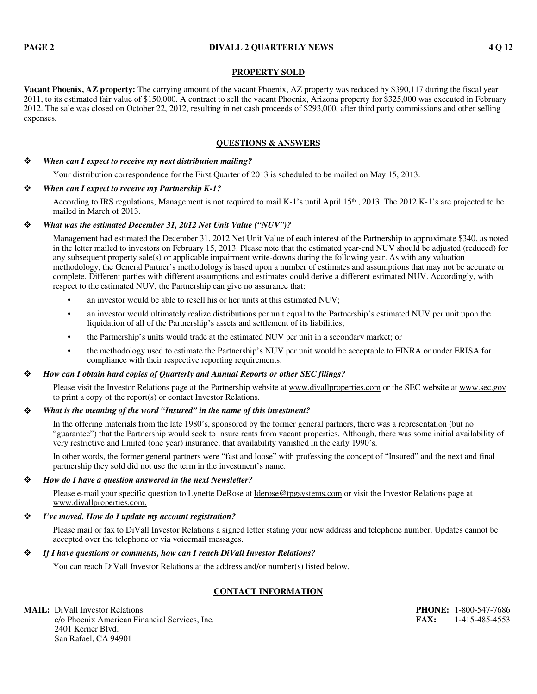### **PROPERTY SOLD**

**Vacant Phoenix, AZ property:** The carrying amount of the vacant Phoenix, AZ property was reduced by \$390,117 during the fiscal year 2011, to its estimated fair value of \$150,000. A contract to sell the vacant Phoenix, Arizona property for \$325,000 was executed in February 2012. The sale was closed on October 22, 2012, resulting in net cash proceeds of \$293,000, after third party commissions and other selling expenses.

# **QUESTIONS & ANSWERS**

#### *When can I expect to receive my next distribution mailing?*

Your distribution correspondence for the First Quarter of 2013 is scheduled to be mailed on May 15, 2013.

# *When can I expect to receive my Partnership K-1?*

According to IRS regulations, Management is not required to mail K-1's until April  $15<sup>th</sup>$ , 2013. The 2012 K-1's are projected to be mailed in March of 2013.

### *What was the estimated December 31, 2012 Net Unit Value ("NUV")?*

Management had estimated the December 31, 2012 Net Unit Value of each interest of the Partnership to approximate \$340, as noted in the letter mailed to investors on February 15, 2013. Please note that the estimated year-end NUV should be adjusted (reduced) for any subsequent property sale(s) or applicable impairment write-downs during the following year. As with any valuation methodology, the General Partner's methodology is based upon a number of estimates and assumptions that may not be accurate or complete. Different parties with different assumptions and estimates could derive a different estimated NUV. Accordingly, with respect to the estimated NUV, the Partnership can give no assurance that:

- an investor would be able to resell his or her units at this estimated NUV;
- an investor would ultimately realize distributions per unit equal to the Partnership's estimated NUV per unit upon the liquidation of all of the Partnership's assets and settlement of its liabilities;
- the Partnership's units would trade at the estimated NUV per unit in a secondary market; or
- the methodology used to estimate the Partnership's NUV per unit would be acceptable to FINRA or under ERISA for compliance with their respective reporting requirements.

#### *How can I obtain hard copies of Quarterly and Annual Reports or other SEC filings?*

Please visit the Investor Relations page at the Partnership website at www.divallproperties.com or the SEC website at www.sec.gov to print a copy of the report(s) or contact Investor Relations.

### *What is the meaning of the word "Insured" in the name of this investment?*

In the offering materials from the late 1980's, sponsored by the former general partners, there was a representation (but no "guarantee") that the Partnership would seek to insure rents from vacant properties. Although, there was some initial availability of very restrictive and limited (one year) insurance, that availability vanished in the early 1990's.

In other words, the former general partners were "fast and loose" with professing the concept of "Insured" and the next and final partnership they sold did not use the term in the investment's name.

#### *How do I have a question answered in the next Newsletter?*

Please e-mail your specific question to Lynette DeRose at *lderose@tpgsystems.com* or visit the Investor Relations page at www.divallproperties.com.

# *I've moved. How do I update my account registration?*

Please mail or fax to DiVall Investor Relations a signed letter stating your new address and telephone number. Updates cannot be accepted over the telephone or via voicemail messages.

#### *If I have questions or comments, how can I reach DiVall Investor Relations?*

You can reach DiVall Investor Relations at the address and/or number(s) listed below.

# **CONTACT INFORMATION**

**MAIL:** DiVall Investor Relations **PHONE:** 1-800-547-7686 c/o Phoenix American Financial Services, Inc. **FAX:** 1-415-485-4553 2401 Kerner Blvd. San Rafael, CA 94901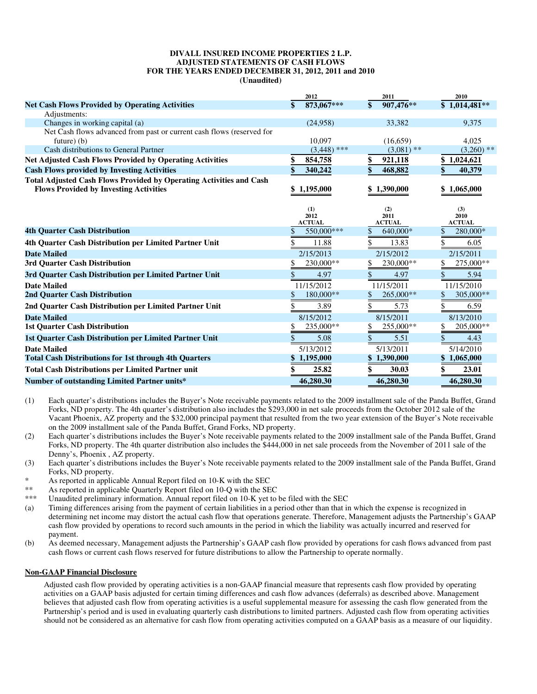#### **DIVALL INSURED INCOME PROPERTIES 2 L.P. ADJUSTED STATEMENTS OF CASH FLOWS FOR THE YEARS ENDED DECEMBER 31, 2012, 2011 and 2010 (Unaudited)**

|                                                                                                                             | 2012                         | 2011                         | 2010                         |
|-----------------------------------------------------------------------------------------------------------------------------|------------------------------|------------------------------|------------------------------|
| <b>Net Cash Flows Provided by Operating Activities</b>                                                                      | 873,067***<br>\$             | 907,476**<br>\$              | $$1,014,\overline{481}**$    |
| Adjustments:                                                                                                                |                              |                              |                              |
| Changes in working capital (a)                                                                                              | (24,958)                     | 33,382                       | 9,375                        |
| Net Cash flows advanced from past or current cash flows (reserved for                                                       |                              |                              |                              |
| future $)$ (b)                                                                                                              | 10.097                       | (16, 659)                    | 4,025                        |
| Cash distributions to General Partner                                                                                       | $(3,448)$ ***                | $(3.081)$ **                 | $(3,260)$ **                 |
| <b>Net Adjusted Cash Flows Provided by Operating Activities</b>                                                             | \$<br>854,758                | \$<br>921,118                | \$1,024,621                  |
| <b>Cash Flows provided by Investing Activities</b>                                                                          | \$<br>340,242                | 468,882                      | 40,379                       |
| <b>Total Adjusted Cash Flows Provided by Operating Activities and Cash</b><br><b>Flows Provided by Investing Activities</b> | \$1,195,000                  | \$1,390,000                  | \$1,065,000                  |
|                                                                                                                             | (1)<br>2012<br><b>ACTUAL</b> | (2)<br>2011<br><b>ACTUAL</b> | (3)<br>2010<br><b>ACTUAL</b> |
| <b>4th Quarter Cash Distribution</b>                                                                                        | 550,000***<br>S              | 640,000*<br>\$               | 280,000*<br>S                |
| 4th Quarter Cash Distribution per Limited Partner Unit                                                                      | \$<br>11.88                  | 13.83                        | 6.05                         |
| <b>Date Mailed</b>                                                                                                          | 2/15/2013                    | 2/15/2012                    | 2/15/2011                    |
| 3rd Quarter Cash Distribution                                                                                               | 230,000**<br>\$              | 230,000**                    | 275,000**<br>\$              |
| 3rd Quarter Cash Distribution per Limited Partner Unit                                                                      | \$<br>4.97                   | \$<br>4.97                   | \$<br>5.94                   |
| <b>Date Mailed</b>                                                                                                          | 11/15/2012                   | 11/15/2011                   | 11/15/2010                   |
| 2nd Quarter Cash Distribution                                                                                               | 180,000**<br>\$              | 265,000**<br>\$              | 305,000**<br>\$              |
| 2nd Quarter Cash Distribution per Limited Partner Unit                                                                      | \$<br>3.89                   | \$<br>5.73                   | \$<br>6.59                   |
| <b>Date Mailed</b>                                                                                                          | 8/15/2012                    | 8/15/2011                    | 8/13/2010                    |
| <b>1st Quarter Cash Distribution</b>                                                                                        | 235,000**<br>\$              | 255,000**                    | 205,000**<br>S               |
| 1st Quarter Cash Distribution per Limited Partner Unit                                                                      | \$<br>5.08                   | \$<br>5.51                   | \$<br>4.43                   |
| <b>Date Mailed</b>                                                                                                          | 5/13/2012                    | 5/13/2011                    | 5/14/2010                    |
| <b>Total Cash Distributions for 1st through 4th Quarters</b>                                                                | \$1,195,000                  | \$1,390,000                  | \$1,065,000                  |
| <b>Total Cash Distributions per Limited Partner unit</b>                                                                    | 25.82                        | 30.03                        | 23.01                        |
| <b>Number of outstanding Limited Partner units*</b>                                                                         | 46,280.30                    | 46,280.30                    | 46,280.30                    |

(1) Each quarter's distributions includes the Buyer's Note receivable payments related to the 2009 installment sale of the Panda Buffet, Grand Forks, ND property. The 4th quarter's distribution also includes the \$293,000 in net sale proceeds from the October 2012 sale of the Vacant Phoenix, AZ property and the \$32,000 principal payment that resulted from the two year extension of the Buyer's Note receivable on the 2009 installment sale of the Panda Buffet, Grand Forks, ND property.

(2) Each quarter's distributions includes the Buyer's Note receivable payments related to the 2009 installment sale of the Panda Buffet, Grand Forks, ND property. The 4th quarter distribution also includes the \$444,000 in net sale proceeds from the November of 2011 sale of the Denny's, Phoenix , AZ property.

- (3) Each quarter's distributions includes the Buyer's Note receivable payments related to the 2009 installment sale of the Panda Buffet, Grand Forks, ND property.
- \* As reported in applicable Annual Report filed on 10-K with the SEC<br>\*\* As reported in applicable Querterly Peport filed on 10-Q with the SE
- \*\* As reported in applicable Quarterly Report filed on 10-Q with the SEC<br>\*\*\* Inaudited preliminary information. Annual report filed on 10-K wet to
- Unaudited preliminary information. Annual report filed on 10-K yet to be filed with the SEC
- (a) Timing differences arising from the payment of certain liabilities in a period other than that in which the expense is recognized in determining net income may distort the actual cash flow that operations generate. Therefore, Management adjusts the Partnership's GAAP cash flow provided by operations to record such amounts in the period in which the liability was actually incurred and reserved for payment.
- (b) As deemed necessary, Management adjusts the Partnership's GAAP cash flow provided by operations for cash flows advanced from past cash flows or current cash flows reserved for future distributions to allow the Partnership to operate normally.

#### **Non-GAAP Financial Disclosure**

Adjusted cash flow provided by operating activities is a non-GAAP financial measure that represents cash flow provided by operating activities on a GAAP basis adjusted for certain timing differences and cash flow advances (deferrals) as described above. Management believes that adjusted cash flow from operating activities is a useful supplemental measure for assessing the cash flow generated from the Partnership's period and is used in evaluating quarterly cash distributions to limited partners. Adjusted cash flow from operating activities should not be considered as an alternative for cash flow from operating activities computed on a GAAP basis as a measure of our liquidity.